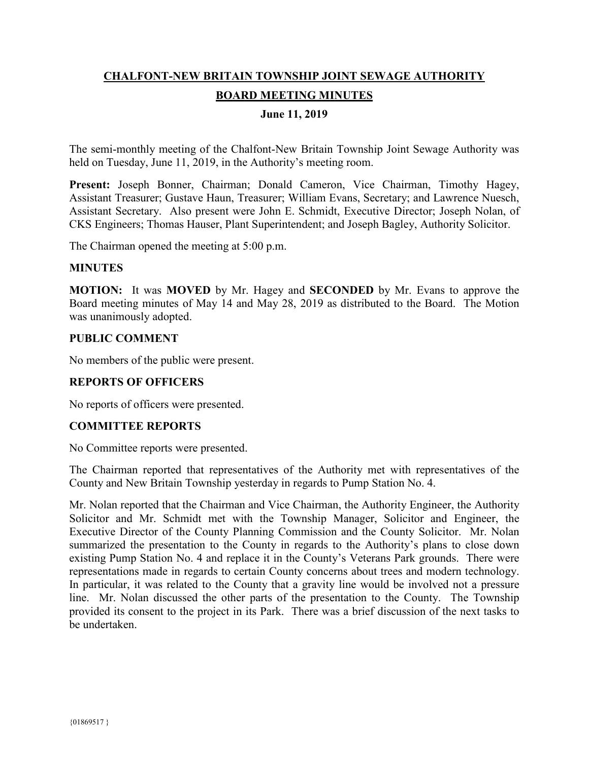# **CHALFONT-NEW BRITAIN TOWNSHIP JOINT SEWAGE AUTHORITY BOARD MEETING MINUTES**

## **June 11, 2019**

The semi-monthly meeting of the Chalfont-New Britain Township Joint Sewage Authority was held on Tuesday, June 11, 2019, in the Authority's meeting room.

Present: Joseph Bonner, Chairman; Donald Cameron, Vice Chairman, Timothy Hagey, Assistant Treasurer; Gustave Haun, Treasurer; William Evans, Secretary; and Lawrence Nuesch, Assistant Secretary. Also present were John E. Schmidt, Executive Director; Joseph Nolan, of CKS Engineers; Thomas Hauser, Plant Superintendent; and Joseph Bagley, Authority Solicitor.

The Chairman opened the meeting at 5:00 p.m.

### **MINUTES**

**MOTION:** It was **MOVED** by Mr. Hagey and **SECONDED** by Mr. Evans to approve the Board meeting minutes of May 14 and May 28, 2019 as distributed to the Board. The Motion was unanimously adopted.

### **PUBLIC COMMENT**

No members of the public were present.

### **REPORTS OF OFFICERS**

No reports of officers were presented.

### **COMMITTEE REPORTS**

No Committee reports were presented.

The Chairman reported that representatives of the Authority met with representatives of the County and New Britain Township yesterday in regards to Pump Station No. 4.

Mr. Nolan reported that the Chairman and Vice Chairman, the Authority Engineer, the Authority Solicitor and Mr. Schmidt met with the Township Manager, Solicitor and Engineer, the Executive Director of the County Planning Commission and the County Solicitor. Mr. Nolan summarized the presentation to the County in regards to the Authority's plans to close down existing Pump Station No. 4 and replace it in the County's Veterans Park grounds. There were representations made in regards to certain County concerns about trees and modern technology. In particular, it was related to the County that a gravity line would be involved not a pressure line. Mr. Nolan discussed the other parts of the presentation to the County. The Township provided its consent to the project in its Park. There was a brief discussion of the next tasks to be undertaken.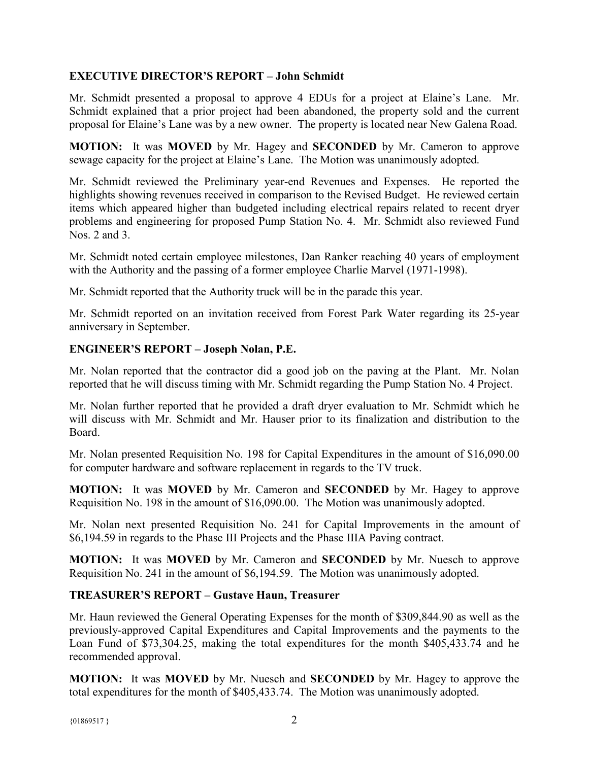## **EXECUTIVE DIRECTOR'S REPORT – John Schmidt**

Mr. Schmidt presented a proposal to approve 4 EDUs for a project at Elaine's Lane. Mr. Schmidt explained that a prior project had been abandoned, the property sold and the current proposal for Elaine's Lane was by a new owner. The property is located near New Galena Road.

**MOTION:** It was **MOVED** by Mr. Hagey and **SECONDED** by Mr. Cameron to approve sewage capacity for the project at Elaine's Lane. The Motion was unanimously adopted.

Mr. Schmidt reviewed the Preliminary year-end Revenues and Expenses. He reported the highlights showing revenues received in comparison to the Revised Budget. He reviewed certain items which appeared higher than budgeted including electrical repairs related to recent dryer problems and engineering for proposed Pump Station No. 4. Mr. Schmidt also reviewed Fund Nos. 2 and 3.

Mr. Schmidt noted certain employee milestones, Dan Ranker reaching 40 years of employment with the Authority and the passing of a former employee Charlie Marvel (1971-1998).

Mr. Schmidt reported that the Authority truck will be in the parade this year.

Mr. Schmidt reported on an invitation received from Forest Park Water regarding its 25-year anniversary in September.

## **ENGINEER'S REPORT – Joseph Nolan, P.E.**

Mr. Nolan reported that the contractor did a good job on the paving at the Plant. Mr. Nolan reported that he will discuss timing with Mr. Schmidt regarding the Pump Station No. 4 Project.

Mr. Nolan further reported that he provided a draft dryer evaluation to Mr. Schmidt which he will discuss with Mr. Schmidt and Mr. Hauser prior to its finalization and distribution to the Board.

Mr. Nolan presented Requisition No. 198 for Capital Expenditures in the amount of \$16,090.00 for computer hardware and software replacement in regards to the TV truck.

**MOTION:** It was **MOVED** by Mr. Cameron and **SECONDED** by Mr. Hagey to approve Requisition No. 198 in the amount of \$16,090.00. The Motion was unanimously adopted.

Mr. Nolan next presented Requisition No. 241 for Capital Improvements in the amount of \$6,194.59 in regards to the Phase III Projects and the Phase IIIA Paving contract.

**MOTION:** It was **MOVED** by Mr. Cameron and **SECONDED** by Mr. Nuesch to approve Requisition No. 241 in the amount of \$6,194.59. The Motion was unanimously adopted.

## **TREASURER'S REPORT – Gustave Haun, Treasurer**

Mr. Haun reviewed the General Operating Expenses for the month of \$309,844.90 as well as the previously-approved Capital Expenditures and Capital Improvements and the payments to the Loan Fund of \$73,304.25, making the total expenditures for the month \$405,433.74 and he recommended approval.

**MOTION:** It was **MOVED** by Mr. Nuesch and **SECONDED** by Mr. Hagey to approve the total expenditures for the month of \$405,433.74. The Motion was unanimously adopted.